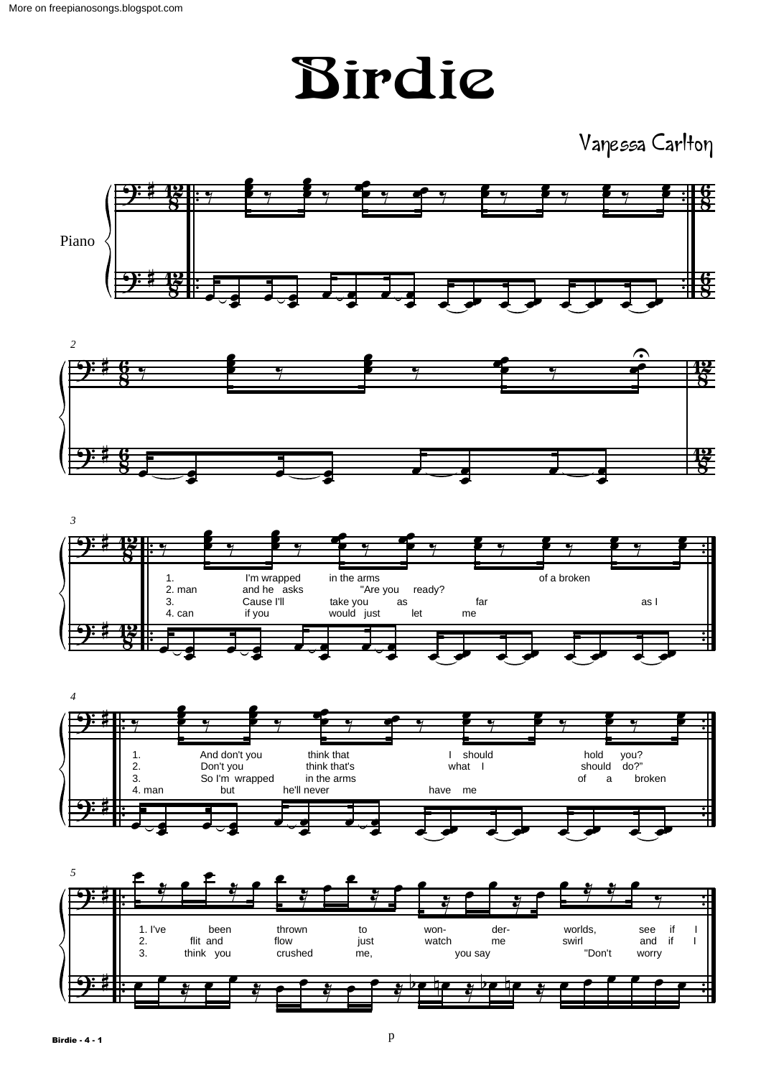Birdie

Vanessa Carlton









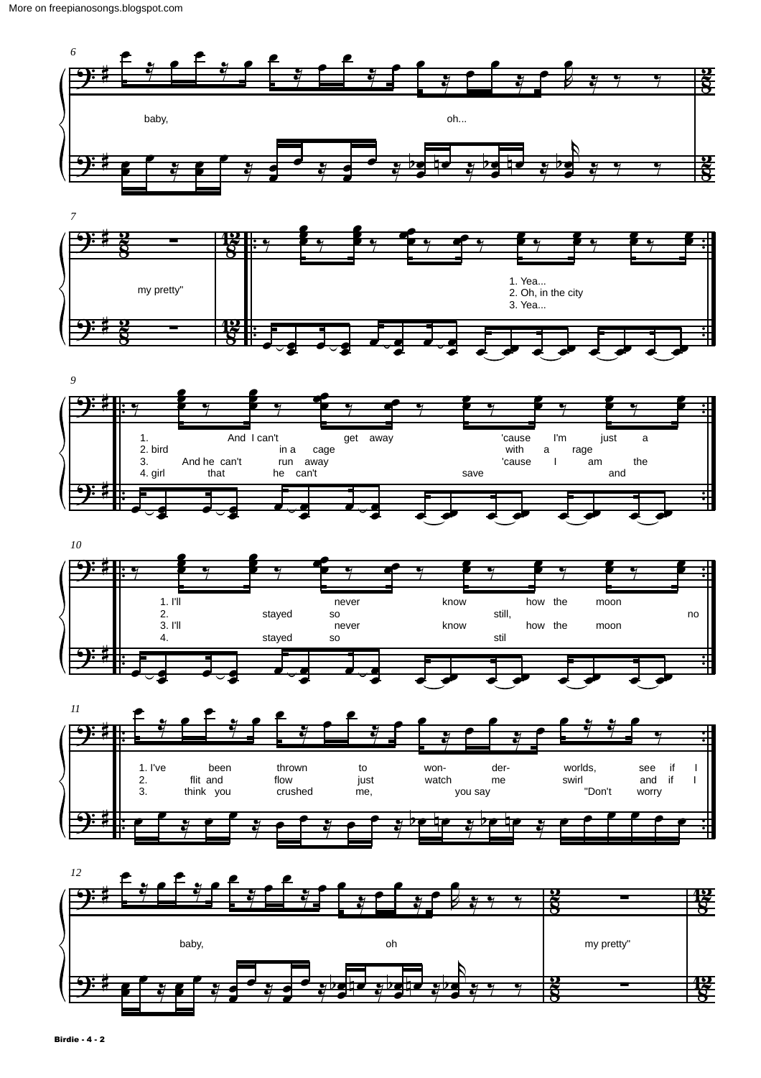









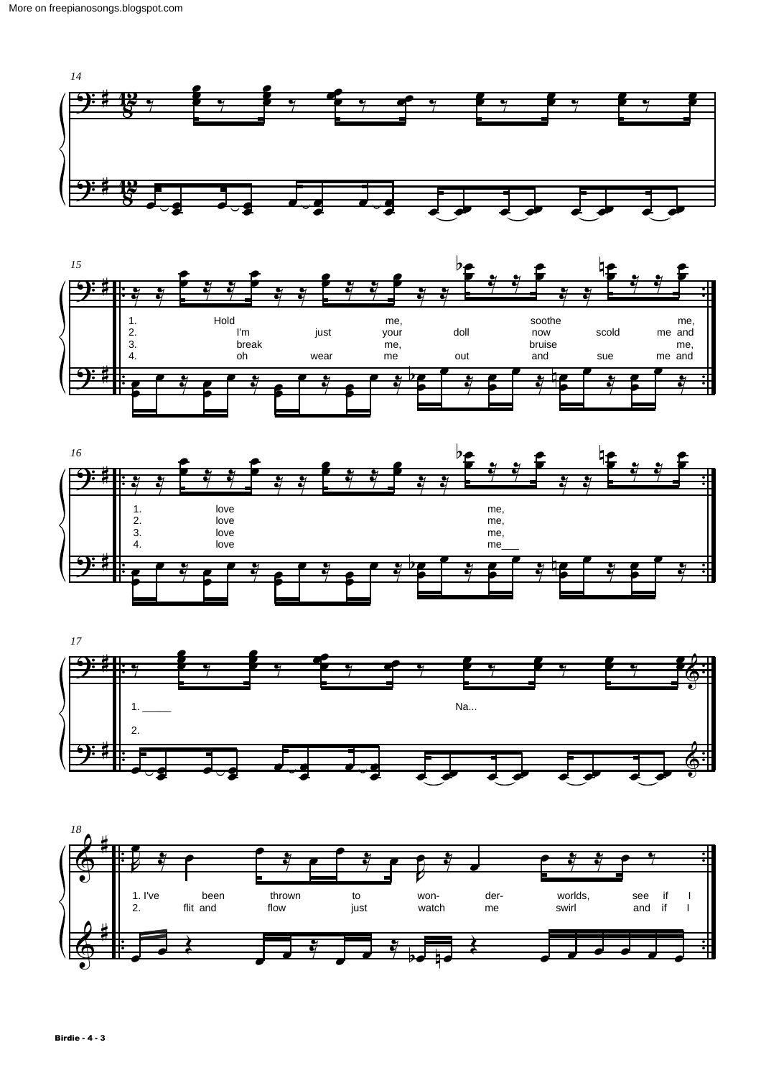